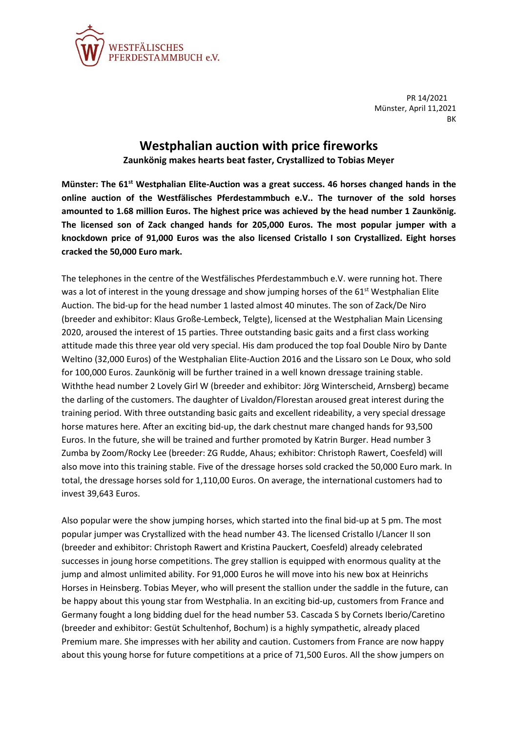

PR 14/2021 Münster, April 11,2021 BK

## **Westphalian auction with price fireworks**

**Zaunkönig makes hearts beat faster, Crystallized to Tobias Meyer**

**Münster: The 61st Westphalian Elite-Auction was a great success. 46 horses changed hands in the online auction of the Westfälisches Pferdestammbuch e.V.. The turnover of the sold horses amounted to 1.68 million Euros. The highest price was achieved by the head number 1 Zaunkönig. The licensed son of Zack changed hands for 205,000 Euros. The most popular jumper with a knockdown price of 91,000 Euros was the also licensed Cristallo I son Crystallized. Eight horses cracked the 50,000 Euro mark.**

The telephones in the centre of the Westfälisches Pferdestammbuch e.V. were running hot. There was a lot of interest in the young dressage and show jumping horses of the 61<sup>st</sup> Westphalian Elite Auction. The bid-up for the head number 1 lasted almost 40 minutes. The son of Zack/De Niro (breeder and exhibitor: Klaus Große-Lembeck, Telgte), licensed at the Westphalian Main Licensing 2020, aroused the interest of 15 parties. Three outstanding basic gaits and a first class working attitude made this three year old very special. His dam produced the top foal Double Niro by Dante Weltino (32,000 Euros) of the Westphalian Elite-Auction 2016 and the Lissaro son Le Doux, who sold for 100,000 Euros. Zaunkönig will be further trained in a well known dressage training stable. Withthe head number 2 Lovely Girl W (breeder and exhibitor: Jörg Winterscheid, Arnsberg) became the darling of the customers. The daughter of Livaldon/Florestan aroused great interest during the training period. With three outstanding basic gaits and excellent rideability, a very special dressage horse matures here. After an exciting bid-up, the dark chestnut mare changed hands for 93,500 Euros. In the future, she will be trained and further promoted by Katrin Burger. Head number 3 Zumba by Zoom/Rocky Lee (breeder: ZG Rudde, Ahaus; exhibitor: Christoph Rawert, Coesfeld) will also move into this training stable. Five of the dressage horses sold cracked the 50,000 Euro mark. In total, the dressage horses sold for 1,110,00 Euros. On average, the international customers had to invest 39,643 Euros.

Also popular were the show jumping horses, which started into the final bid-up at 5 pm. The most popular jumper was Crystallized with the head number 43. The licensed Cristallo I/Lancer II son (breeder and exhibitor: Christoph Rawert and Kristina Pauckert, Coesfeld) already celebrated successes in joung horse competitions. The grey stallion is equipped with enormous quality at the jump and almost unlimited ability. For 91,000 Euros he will move into his new box at Heinrichs Horses in Heinsberg. Tobias Meyer, who will present the stallion under the saddle in the future, can be happy about this young star from Westphalia. In an exciting bid-up, customers from France and Germany fought a long bidding duel for the head number 53. Cascada S by Cornets Iberio/Caretino (breeder and exhibitor: Gestüt Schultenhof, Bochum) is a highly sympathetic, already placed Premium mare. She impresses with her ability and caution. Customers from France are now happy about this young horse for future competitions at a price of 71,500 Euros. All the show jumpers on